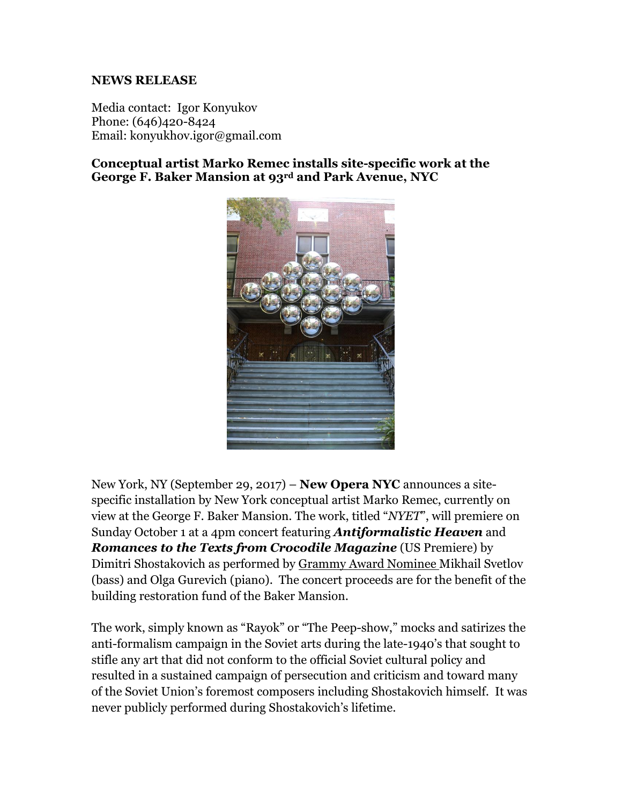## **NEWS RELEASE**

Media contact: Igor Konyukov Phone: (646)420-8424 Email: konyukhov.igor@gmail.com

**Conceptual artist Marko Remec installs site-specific work at the George F. Baker Mansion at 93rd and Park Avenue, NYC**



New York, NY (September 29, 2017) – **New Opera NYC** announces a sitespecific installation by New York conceptual artist Marko Remec, currently on view at the George F. Baker Mansion. The work, titled "*NYET*", will premiere on Sunday October 1 at a 4pm concert featuring *Antiformalistic Heaven* and *Romances to the Texts from Crocodile Magazine* (US Premiere) by Dimitri Shostakovich as performed by Grammy Award Nominee Mikhail Svetlov (bass) and Olga Gurevich (piano). The concert proceeds are for the benefit of the building restoration fund of the Baker Mansion.

The work, simply known as "Rayok" or "The Peep-show," mocks and satirizes the anti-formalism campaign in the Soviet arts during the late-1940's that sought to stifle any art that did not conform to the official Soviet cultural policy and resulted in a sustained campaign of persecution and criticism and toward many of the Soviet Union's foremost composers including Shostakovich himself. It was never publicly performed during Shostakovich's lifetime.